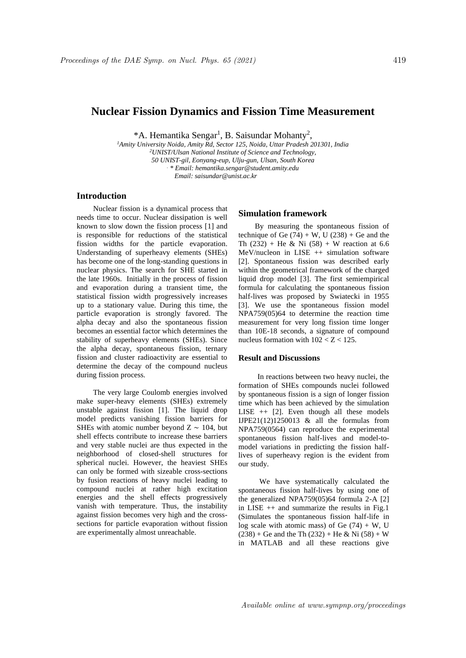# **Nuclear Fission Dynamics and Fission Time Measurement**

\*A. Hemantika Sengar<sup>1</sup>, B. Saisundar Mohanty<sup>2</sup>,

*<sup>1</sup>Amity University Noida, Amity Rd, Sector 125, Noida, Uttar Pradesh 201301, India <sup>2</sup>UNIST/Ulsan National Institute of Science and Technology, 50 UNIST-gil, Eonyang-eup, Ulju-gun, Ulsan, South Korea . \* Email: hemantika.sengar@student.amity.edu Email: saisundar@unist.ac.kr*

# **Introduction**

Nuclear fission is a dynamical process that needs time to occur. Nuclear dissipation is well known to slow down the fission process [1] and is responsible for reductions of the statistical fission widths for the particle evaporation. Understanding of superheavy elements (SHEs) has become one of the long-standing questions in nuclear physics. The search for SHE started in the late 1960s. Initially in the process of fission and evaporation during a transient time, the statistical fission width progressively increases up to a stationary value. During this time, the particle evaporation is strongly favored. The alpha decay and also the spontaneous fission becomes an essential factor which determines the stability of superheavy elements (SHEs). Since the alpha decay, spontaneous fission, ternary fission and cluster radioactivity are essential to determine the decay of the compound nucleus during fission process.

The very large Coulomb energies involved make super-heavy elements (SHEs) extremely unstable against fission [1]. The liquid drop model predicts vanishing fission barriers for SHEs with atomic number beyond  $Z \sim 104$ , but shell effects contribute to increase these barriers and very stable nuclei are thus expected in the neighborhood of closed-shell structures for spherical nuclei. However, the heaviest SHEs can only be formed with sizeable cross-sections by fusion reactions of heavy nuclei leading to compound nuclei at rather high excitation energies and the shell effects progressively vanish with temperature. Thus, the instability against fission becomes very high and the crosssections for particle evaporation without fission are experimentally almost unreachable.

### **Simulation framework**

By measuring the spontaneous fission of technique of Ge  $(74) + W$ , U  $(238) + Ge$  and the Th (232) + He & Ni (58) + W reaction at 6.6 MeV/nucleon in LISE ++ simulation software [2]. Spontaneous fission was described early within the geometrical framework of the charged liquid drop model [3]. The first semiempirical formula for calculating the spontaneous fission half-lives was proposed by Swiatecki in 1955 [3]. We use the spontaneous fission model NPA759(05)64 to determine the reaction time measurement for very long fission time longer than 10E-18 seconds, a signature of compound nucleus formation with  $102 < Z < 125$ .

#### **Result and Discussions**

 In reactions between two heavy nuclei, the formation of SHEs compounds nuclei followed by spontaneous fission is a sign of longer fission time which has been achieved by the simulation LISE  $++$  [2]. Even though all these models IJPE21(12)1250013 & all the formulas from NPA759(0564) can reproduce the experimental spontaneous fission half-lives and model-tomodel variations in predicting the fission halflives of superheavy region is the evident from our study.

 We have systematically calculated the spontaneous fission half-lives by using one of the generalized NPA759(05)64 formula 2-A [2] in LISE ++ and summarize the results in Fig.1 (Simulates the spontaneous fission half-life in log scale with atomic mass) of Ge  $(74) + W$ , U  $(238) +$  Ge and the Th  $(232) +$  He & Ni  $(58) +$  W in MATLAB and all these reactions give